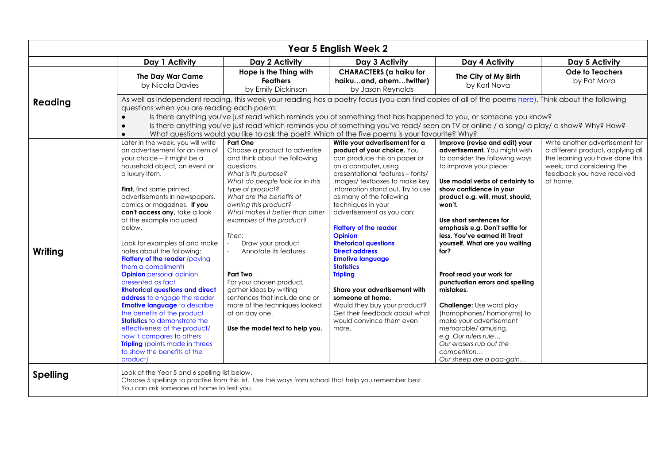| <b>Year 5 English Week 2</b> |                                                                                                                                                                                                                                                                                                                                                                                                                                                                                                                                                                                                                                                                                                                                                                                                                                                    |                                                                                                                                                                                                                                                                                                                                                                                                                                                                                                                                                                                          |                                                                                                                                                                                                                                                                                                                                                                                                                                                                                                                                                                                                                                                         |                                                                                                                                                                                                                                                                                                                                                                                                                                                                                                                                                                                                                                                                             |                                                                                                                                                                                |  |  |
|------------------------------|----------------------------------------------------------------------------------------------------------------------------------------------------------------------------------------------------------------------------------------------------------------------------------------------------------------------------------------------------------------------------------------------------------------------------------------------------------------------------------------------------------------------------------------------------------------------------------------------------------------------------------------------------------------------------------------------------------------------------------------------------------------------------------------------------------------------------------------------------|------------------------------------------------------------------------------------------------------------------------------------------------------------------------------------------------------------------------------------------------------------------------------------------------------------------------------------------------------------------------------------------------------------------------------------------------------------------------------------------------------------------------------------------------------------------------------------------|---------------------------------------------------------------------------------------------------------------------------------------------------------------------------------------------------------------------------------------------------------------------------------------------------------------------------------------------------------------------------------------------------------------------------------------------------------------------------------------------------------------------------------------------------------------------------------------------------------------------------------------------------------|-----------------------------------------------------------------------------------------------------------------------------------------------------------------------------------------------------------------------------------------------------------------------------------------------------------------------------------------------------------------------------------------------------------------------------------------------------------------------------------------------------------------------------------------------------------------------------------------------------------------------------------------------------------------------------|--------------------------------------------------------------------------------------------------------------------------------------------------------------------------------|--|--|
|                              | Day 1 Activity                                                                                                                                                                                                                                                                                                                                                                                                                                                                                                                                                                                                                                                                                                                                                                                                                                     | Day 2 Activity                                                                                                                                                                                                                                                                                                                                                                                                                                                                                                                                                                           | Day 3 Activity                                                                                                                                                                                                                                                                                                                                                                                                                                                                                                                                                                                                                                          | Day 4 Activity                                                                                                                                                                                                                                                                                                                                                                                                                                                                                                                                                                                                                                                              | Day 5 Activity                                                                                                                                                                 |  |  |
|                              | The Day War Came<br>by Nicola Davies                                                                                                                                                                                                                                                                                                                                                                                                                                                                                                                                                                                                                                                                                                                                                                                                               | Hope is the Thing with<br><b>Feathers</b><br>by Emily Dickinson                                                                                                                                                                                                                                                                                                                                                                                                                                                                                                                          | <b>CHARACTERS</b> (a haiku for<br>haikuand, ahemtwitter)<br>by Jason Reynolds                                                                                                                                                                                                                                                                                                                                                                                                                                                                                                                                                                           | The City of My Birth<br>by Karl Nova                                                                                                                                                                                                                                                                                                                                                                                                                                                                                                                                                                                                                                        | <b>Ode to Teachers</b><br>by Pat Mora                                                                                                                                          |  |  |
| Reading                      | As well as independent reading, this week your reading has a poetry focus (you can find copies of all of the poems here). Think about the following<br>questions when you are reading each poem:<br>Is there anything you've just read which reminds you of something that has happened to you, or someone you know?<br>$\bullet$<br>Is there anything you've just read which reminds you of something you've read/ seen on TV or online / a song/ a play/ a show? Why? How?<br>$\bullet$<br>What questions would you like to ask the poet? Which of the five poems is your favourite? Why?<br>$\bullet$                                                                                                                                                                                                                                           |                                                                                                                                                                                                                                                                                                                                                                                                                                                                                                                                                                                          |                                                                                                                                                                                                                                                                                                                                                                                                                                                                                                                                                                                                                                                         |                                                                                                                                                                                                                                                                                                                                                                                                                                                                                                                                                                                                                                                                             |                                                                                                                                                                                |  |  |
| Writing                      | Later in the week, you will write<br>an advertisement for an item of<br>your choice – it might be a<br>household object, an event or<br>a luxury item.<br>First, find some printed<br>advertisements in newspapers,<br>comics or magazines. If you<br>can't access any, take a look<br>at the example included<br>below.<br>Look for examples of and make<br>notes about the following:<br>Flattery of the reader (paying<br>them a compliment)<br><b>Opinion</b> personal opinion<br>presented as fact<br><b>Rhetorical questions and direct</b><br>address to engage the reader<br><b>Emotive language to describe</b><br>the benefits of the product<br><b>Statistics</b> to demonstrate the<br>effectiveness of the product/<br>how it compares to others<br><b>Tripling</b> (points made in threes<br>to show the benefits of the<br>product) | <b>Part One</b><br>Choose a product to advertise<br>and think about the following<br>questions.<br>What is its purpose?<br>What do people look for in this<br>type of product?<br>What are the benefits of<br>owning this product?<br>What makes it better than other<br>examples of the product?<br>Then:<br>Draw your product<br>Annotate its features<br>$\mathcal{L}_{\mathcal{A}}$<br><b>Part Two</b><br>For your chosen product,<br>gather ideas by writing<br>sentences that include one or<br>more of the techniques looked<br>at on day one.<br>Use the model text to help you. | Write your advertisement for a<br>product of your choice. You<br>can produce this on paper or<br>on a computer, using<br>presentational features - fonts/<br>images/ textboxes to make key<br>information stand out. Try to use<br>as many of the following<br>techniques in your<br>advertisement as you can:<br><b>Flattery of the reader</b><br><b>Opinion</b><br><b>Rhetorical questions</b><br><b>Direct address</b><br><b>Emotive language</b><br><b>Statistics</b><br><b>Tripling</b><br>Share your advertisement with<br>someone at home.<br>Would they buy your product?<br>Get their feedback about what<br>would convince them even<br>more. | Improve (revise and edit) your<br>advertisement. You might wish<br>to consider the following ways<br>to improve your piece:<br>Use modal verbs of certainty to<br>show confidence in your<br>product e.g. will, must, should,<br>won't.<br>Use short sentences for<br>emphasis e.g. Don't settle for<br>less. You've earned it! Treat<br>yourself. What are you waiting<br>for?<br>Proof read your work for<br>punctuation errors and spelling<br>mistakes.<br><b>Challenge:</b> Use word play<br>(homophones/ homonyms) to<br>make your advertisement<br>memorable/ amusing.<br>e.g. Our rulers rule<br>Our erasers rub out the<br>competition<br>Our sheep are a baa-gain | Write another advertisement for<br>a different product, applying all<br>the learning you have done this<br>week, and considering the<br>feedback you have received<br>at home. |  |  |
| <b>Spelling</b>              | Look at the Year 5 and 6 spelling list below.<br>You can ask someone at home to test you.                                                                                                                                                                                                                                                                                                                                                                                                                                                                                                                                                                                                                                                                                                                                                          | Choose 5 spellings to practise from this list. Use the ways from school that help you remember best.                                                                                                                                                                                                                                                                                                                                                                                                                                                                                     |                                                                                                                                                                                                                                                                                                                                                                                                                                                                                                                                                                                                                                                         |                                                                                                                                                                                                                                                                                                                                                                                                                                                                                                                                                                                                                                                                             |                                                                                                                                                                                |  |  |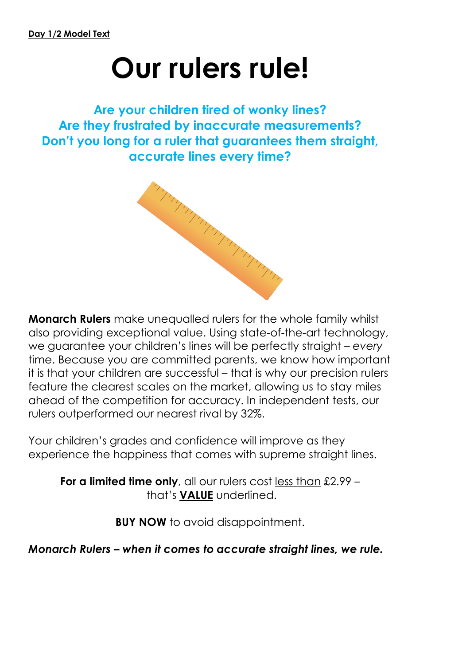## **Our rulers rule!**

**Are your children tired of wonky lines? Are they frustrated by inaccurate measurements? Don't you long for a ruler that guarantees them straight, accurate lines every time?**



**Monarch Rulers** make unequalled rulers for the whole family whilst also providing exceptional value. Using state-of-the-art technology, we guarantee your children's lines will be perfectly straight – *every* time. Because you are committed parents, we know how important it is that your children are successful – that is why our precision rulers feature the clearest scales on the market, allowing us to stay miles ahead of the competition for accuracy. In independent tests, our rulers outperformed our nearest rival by 32%.

Your children's grades and confidence will improve as they experience the happiness that comes with supreme straight lines.

**For a limited time only**, all our rulers cost less than £2.99 – that's **VALUE** underlined.

**BUY NOW** to avoid disappointment.

*Monarch Rulers – when it comes to accurate straight lines, we rule.*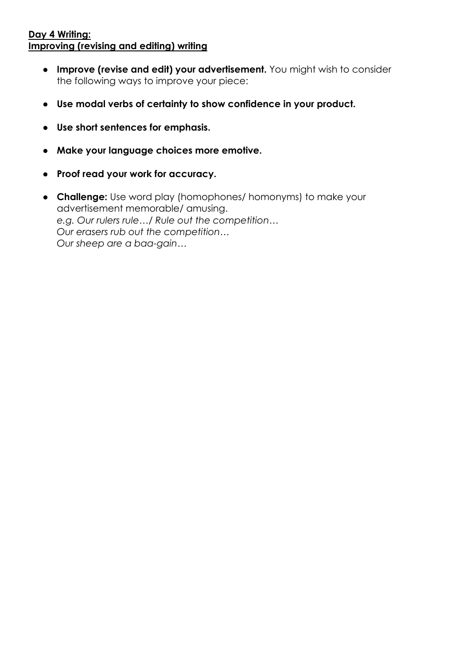## **Day 4 Writing: Improving (revising and editing) writing**

- **Improve (revise and edit) your advertisement.** You might wish to consider the following ways to improve your piece:
- **Use modal verbs of certainty to show confidence in your product.**
- **Use short sentences for emphasis.**
- **Make your language choices more emotive.**
- **Proof read your work for accuracy.**
- **Challenge:** Use word play (homophones/ homonyms) to make your advertisement memorable/ amusing. *e.g. Our rulers rule…/ Rule out the competition… Our erasers rub out the competition… Our sheep are a baa-gain…*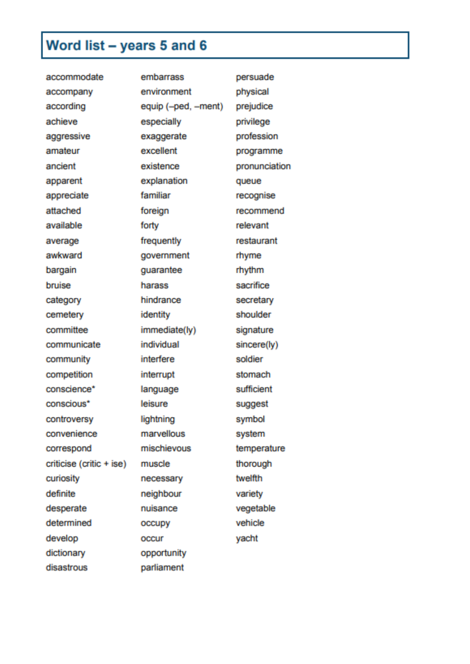## Word list - years 5 and 6

| accommodate              | embarrass           | persuade      |
|--------------------------|---------------------|---------------|
| accompany                | environment         | physical      |
| according                | equip (-ped, -ment) | prejudice     |
| achieve                  | especially          | privilege     |
| aggressive               | exaggerate          | profession    |
| amateur                  | excellent           | programme     |
| ancient                  | existence           | pronunciation |
| apparent                 | explanation         | queue         |
| appreciate               | familiar            | recognise     |
| attached                 | foreign             | recommend     |
| available                | forty               | relevant      |
| average                  | frequently          | restaurant    |
| awkward                  | government          | rhyme         |
| bargain                  | guarantee           | rhythm        |
| bruise                   | harass              | sacrifice     |
| category                 | hindrance           | secretary     |
| cemetery                 | identity            | shoulder      |
| committee                | immediate(ly)       | signature     |
| communicate              | individual          | sincere(ly)   |
| community                | interfere           | soldier       |
| competition              | interrupt           | stomach       |
| conscience*              | language            | sufficient    |
| conscious*               | leisure             | suggest       |
| controversy              | lightning           | symbol        |
| convenience              | marvellous          | system        |
| correspond               | mischievous         | temperature   |
| criticise (critic + ise) | muscle              | thorough      |
| curiosity                | necessary           | twelfth       |
| definite                 | neighbour           | variety       |
| desperate                | nuisance            | vegetable     |
| determined               | occupy              | vehicle       |
| develop                  | occur               | yacht         |
| dictionary               | opportunity         |               |
| disastrous               | parliament          |               |